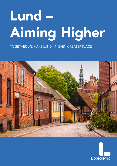# Lund -Aiming Higher

**TOGETHER WE MAKE LUND AN EVEN GREATER PLACE** 



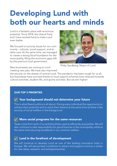## Developing Lund with both our hearts and minds

Lund is a fantastic place with enormous potential. Since 2018, the Liberal Party and I have worked hard to make Lund even better.

We focused on priority issues for our community – schools, social support, and elderly care. At the same time, we managed to create a strong fiscal foundation for the municipality, filling the economic gaps left by the previous local government.



Philip Sandberg, Mayor of Lund

New businesses are coming to Lund creating new jobs. We have also improved

the security on the streets of central Lund. The pandemic has been tough for us all, but businesses have survived thanks to local support schemes even directed towards cultural activities, student life, and sports activities. But we aim higher!

#### OUR TOP 3 PRIORITIES

#### Y Your background should not determine your future

This is what liberal politics is all about: Giving every individual the opportunity to achieve their potential and to reach their dreams at the same time as there is the security of social welfare in the background.

### $\sqrt{\phantom{a}}$  More social programs for the same resources

Taxes come from each of us and should be used as efficiently as possible. We will also continue to take responsibility for good finances in the municipality, while at the same time securing excellence in our common welfare.

#### $\nabla$  Lund in the forefront of development

We will continue to develop Lund as one of the leading innovation hubs in Europe. We will secure best conditions to attract and support Lund as a center for new ideas, research, and entrepreneurship.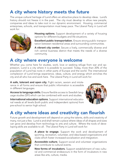## A city where history meets the future

The unique cultural heritage of Lund offers an attractive place to develop ideas. Lund's history should not freeze it in the past. The city must develop to allow new people, companies and ideas to take root in our dynamic environment. Housing, commercial enterprises, schools, and transportation must keep pace. The Liberal Party in Lund will work for:



**Housing options.** Support development of a variety of housing options for different budgets and life situations.

**Excellent public transportation.** Ensure strong public transportation between residential areas and surrounding communities.

**A vibrant city center.** Secure a lively, commercially diverse and rich central business district that meets the needs of a diverse community.

## A city where everyone is welcome

Whether you come here for studies, work, love or seeking refuge from war and oppression, Lund is a city where it is possible to succeed. Today, more than 20% of the population of Lund has roots in other parts of Europe and the world. The international complexion of Lund brings experience, ideas, culture, and energy which enriches the city and all who live and work here. The Liberal Party in Lund will work for:

**A safe, tolerant and open city.** Fight racism, sexism and intolerance in all forms and ensure that public information is accessible in different languages.

**Access to language skills.** Ensure flexible access to Swedish language studies (SFI) which can be combined with work and studies.

**International education options.** Support international educational needs at all levels (both public and independent options) from pre-school to senior high school.



## A city where ideas and creativity can flourish

Future growth and development will depend on using the talents, skills and creativity of many, not just a few. Lund is and shall remain a place where ideas of all shapes and sizes can grow and develop from technology to arts and culture. Where the tools of developing skills are available to all. The Liberal Party in Lund will work for:



**A place to engage.** Support the work and development of sporting, recreation, volunteer, and idea-based organizations and clubs which foster increased socialization and integration.

**Accessible culture.** Support social and volunteer organizations that contribute to cultural events.

**New forms of incubators.** Support establishment of new cultural and commercial endeavours in the form of incubators in new areas like arts, culture, media.